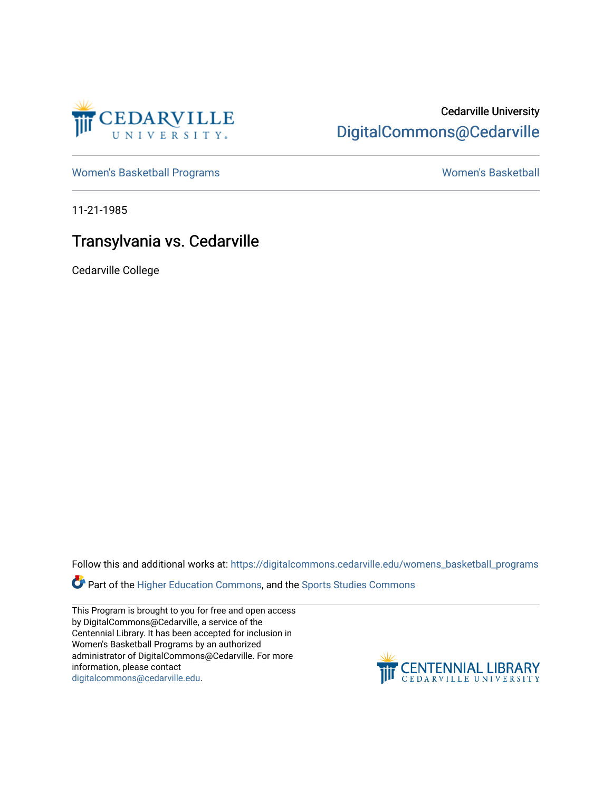

## Cedarville University [DigitalCommons@Cedarville](https://digitalcommons.cedarville.edu/)

[Women's Basketball Programs](https://digitalcommons.cedarville.edu/womens_basketball_programs) North Communication and Momen's Basketball

11-21-1985

# Transylvania vs. Cedarville

Cedarville College

Follow this and additional works at: [https://digitalcommons.cedarville.edu/womens\\_basketball\\_programs](https://digitalcommons.cedarville.edu/womens_basketball_programs?utm_source=digitalcommons.cedarville.edu%2Fwomens_basketball_programs%2F171&utm_medium=PDF&utm_campaign=PDFCoverPages)

Part of the [Higher Education Commons,](http://network.bepress.com/hgg/discipline/1245?utm_source=digitalcommons.cedarville.edu%2Fwomens_basketball_programs%2F171&utm_medium=PDF&utm_campaign=PDFCoverPages) and the Sports Studies Commons

This Program is brought to you for free and open access by DigitalCommons@Cedarville, a service of the Centennial Library. It has been accepted for inclusion in Women's Basketball Programs by an authorized administrator of DigitalCommons@Cedarville. For more information, please contact [digitalcommons@cedarville.edu](mailto:digitalcommons@cedarville.edu).

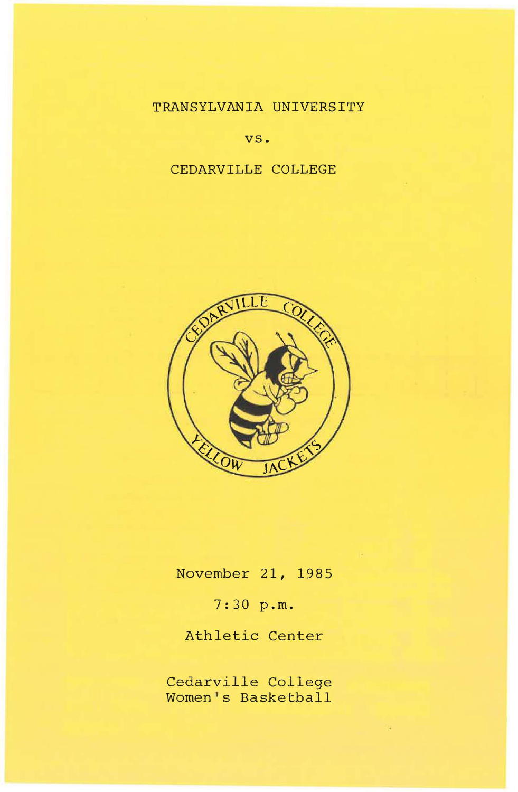## TRANSYLVANIA UNIVERSITY

vs.

### CEDARVILLE COLLEGE



November 21, 1985

7:30 p.m.

Athletic Center

Cedarville College Women's Basketball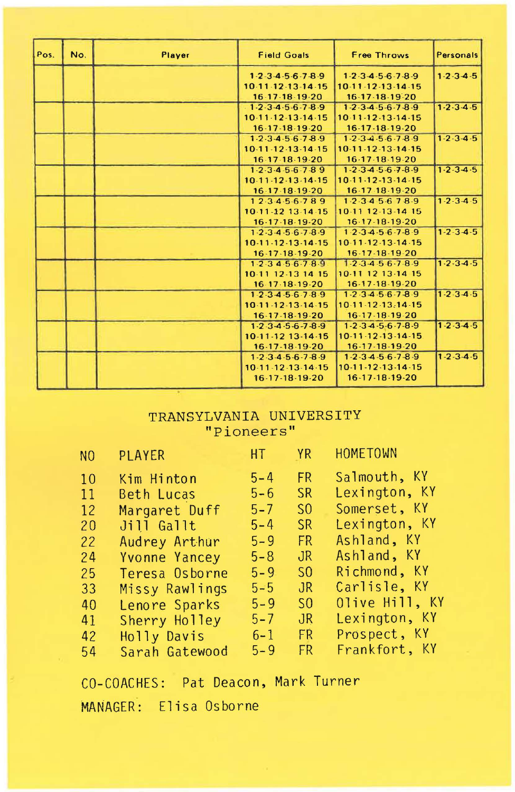| Pos. | No. | Player | <b>Field Goals</b>                                              | Free Throws                         | Personals           |
|------|-----|--------|-----------------------------------------------------------------|-------------------------------------|---------------------|
|      |     |        | $1 - 2 - 3 - 4 - 5 - 6 - 7 - 8 - 9$                             | $1 - 2 - 3 - 4 - 5 - 6 - 7 - 8 - 9$ | $1 - 2 - 3 - 4 - 5$ |
|      |     |        | 10.11.12.13.14.15                                               | 10-11-12-13-14-15                   |                     |
|      |     |        | $16 - 17 - 18 - 19 - 20$                                        | 16-17-18-19-20                      |                     |
|      |     |        | $1 - 2 - 3 - 4 - 5 - 6 - 7 - 8 - 9$                             | $1-2-3-4-5-6-7-8-9$                 | $1 - 2 - 3 - 4 - 5$ |
|      |     |        | 10-11-12-13-14-15                                               | 10-11-12-13-14-15                   |                     |
|      |     |        | 16-17-18-19-20                                                  | 16-17-18-19-20                      |                     |
|      |     |        | $1-2-3-4-5-6-7-8-9$                                             | $1-2-3-4-5-6-7-8-9$                 | $1 - 2 - 3 - 4 - 5$ |
|      |     |        | 10.11.12.13.14.15                                               | $10-11-12-13-14-15$                 |                     |
|      |     |        | 16-17-18-19-20                                                  | 16-17-18-19-20                      |                     |
|      |     |        | $1 - 2 - 3 - 4 - 5 - 6 - 7 - 89$                                | $1 - 2 - 3 - 4 - 5 - 6 - 7 - 8 - 9$ | $1.2.3 - 4.5$       |
|      |     |        | 10-11-12-13-14-15                                               | 10.11.12.13.14.15                   |                     |
|      |     |        | 16.17.18.19.20                                                  | 16-17 18-19-20                      |                     |
|      |     |        | 12.3.4.5.6.789                                                  | 1.2.34.5678.9                       | $1-2-3-4-5$         |
|      |     |        | 10-11-12 13-14-15                                               | 10-11 12-13-14 15                   |                     |
|      |     |        | 16.17.18.19.20                                                  | $16-17-18-19-20$                    |                     |
|      |     |        | 1.2.3.4.5.6.7.8.9                                               | $1.2 - 3.4 - 5.6 - 7.8 - 9$         | $1 - 2 - 3 - 4 - 5$ |
|      |     |        | 10-11-12-13-14-15                                               | 10-11-12-13-14-15                   |                     |
|      |     |        | 16-17-18-19-20                                                  | 16-17-18-19-20                      |                     |
|      |     |        | 1.2.3456.789                                                    | 1.2.3.4.5.6.7.8.9                   | $1 - 2 - 3 - 4 - 5$ |
|      |     |        | 10-11 12-13 14 15                                               | 10-11 12 13-14 15                   |                     |
|      |     |        | 16 17 18 19 20                                                  | 16-17-18-19-20                      |                     |
|      |     |        | $1-2-3-4-5-6-7-8-9$                                             | $1-2.3 - 4.5 - 6.7 - 8.9$           | $1 - 2 - 3 - 4 - 5$ |
|      |     |        | 10-11-12-13-14-15                                               | 10-11-12-13-14-15                   |                     |
|      |     |        | 16-17-18-19-20                                                  | 16-17-18-19-20                      |                     |
|      |     |        | $1.2.3 - 4.5 - 6.7 - 8.9$                                       | $1-2.34-5-6.7-8-9$                  | $1 - 2 - 3 - 4 - 5$ |
|      |     |        | 10-11-12 13-14-15                                               | 10-11-12-13-14-15                   |                     |
|      |     |        | 16-17-18-19-20                                                  | 16-17-18-19-20                      |                     |
|      |     |        | $1 - 2 \cdot 3 \cdot 4 \cdot 5 \cdot 6 \cdot 7 \cdot 8 \cdot 9$ | $1 - 2 - 3 - 4 - 5 - 6 - 7 - 8 - 9$ | $1 - 2 - 3 - 4 - 5$ |
|      |     |        | 10-11-12-13-14-15                                               | 10-11-12-13-14-15                   |                     |
|      |     |        | 16-17-18-19-20                                                  | 16-17-18-19-20                      |                     |

#### TRANSYLVANIA UNIVERSITY "Pioneers"

| NO. | <b>Example 18 HT PRINT</b><br><b>PLAYER</b> |         |                | HOMETOWN       |
|-----|---------------------------------------------|---------|----------------|----------------|
| 10  | Kim Hinton                                  | $5 - 4$ | FR.            | Salmouth, KY   |
| 11  | Beth Lucas                                  | $5 - 6$ | <b>SR</b>      | Lexington, KY  |
| 12  | Margaret Duff                               | $5 - 7$ | S <sub>0</sub> | Somerset, KY   |
| 20  | Jill Gallt                                  | $5 - 4$ | SR.            | Lexington, KY  |
| 22  | Audrey Arthur                               | $5 - 9$ | FR.            | Ashland, KY    |
| 24  | Yvonne Yancey                               | $5 - 8$ | JR.            | Ashland, KY    |
| 25  | Teresa Osborne                              | $5 - 9$ | S <sub>0</sub> | Richmond, KY   |
| 33  | Missy Rawlings                              | $5 - 5$ | JR.            | Carlisle, KY   |
| 40  | Lenore Sparks                               | $5 - 9$ | S <sub>0</sub> | Olive Hill, KY |
| 41  | Sherry Holley                               | $5 - 7$ | J <sub>R</sub> | Lexington, KY  |
| 42  | Holly Davis                                 | $6 - 1$ | FR             | Prospect, KY   |
| 54  | Sarah Gatewood                              | $5 - 9$ | FR.            | Frankfort, KY  |

CO-COACHES: Pat Deacon, Mark Turner MANAGER: Elisa Osborne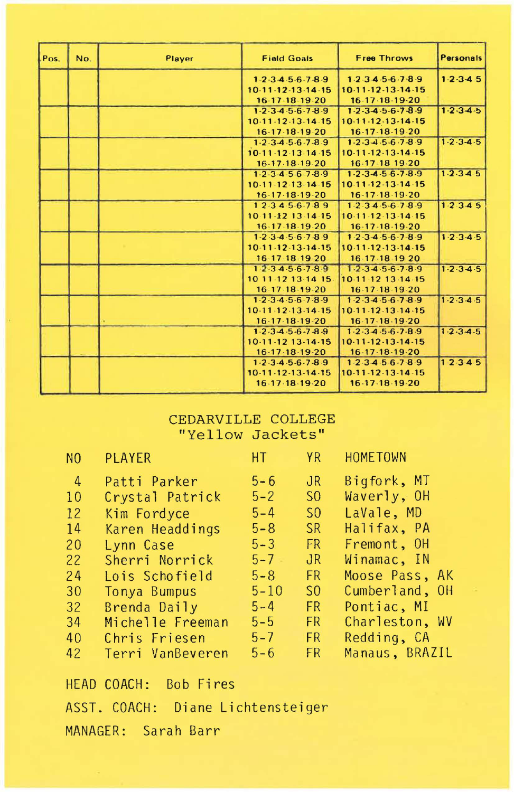| Pos. | No. | Player | <b>Field Goals</b>                  | Free Throws                         | Personals           |
|------|-----|--------|-------------------------------------|-------------------------------------|---------------------|
|      |     |        | $1-2-3-4-5-6-7-8-9$                 | 1.2.34.56.78.9                      | $1 - 2 - 3 - 4 - 5$ |
|      |     |        | 10.11.12.13.14.15                   | 10-11-12-13-14-15                   |                     |
|      |     |        | 16-17-18-19-20                      | 16-17-18-19-20                      |                     |
|      |     |        | $1 - 2 - 3 - 4 - 5 - 6 - 7 - 8 - 9$ | $1-2-3-4-5-6-7-8-9$                 | $1 - 2 - 3 - 4 - 5$ |
|      |     |        | 10.11.12.13.14.15                   | 10.11.12.13.14.15                   |                     |
|      |     |        | 16-17-18-19-20                      | 16-17-18-19-20                      |                     |
|      |     |        | $1-2-3-4-5-6-7-8-9$                 | $1-2-3-4-5-6-7-8-9$                 | $1 - 2 - 3 - 4 - 5$ |
|      |     |        | 10-11-12-13 14-15                   | $10-11-12-13-14-15$                 |                     |
|      |     |        | 16-17-18-19-20                      | 16-17-18 19-20                      |                     |
|      |     |        | $1 - 2 - 3 - 4 - 5 - 6 - 7 - 8 - 9$ | $1 - 2 - 3 - 4 - 5 - 6 - 7 - 8 - 9$ | $1 - 2 - 3 - 4 - 5$ |
|      |     |        | 10-11-12-13-14-15                   | $10.11.12 - 13.14.15$               |                     |
|      |     |        | 16-17-18-19-20                      | 16-17-18-19-20                      |                     |
|      |     |        | 12.3456.789                         | 1.2.34.56.78.9                      | 1.2.345             |
|      |     |        | 10 11 - 12 13 14 - 15               | 10.11.12.13.14.15                   |                     |
|      |     |        | 16-17-18-19-20                      | 16-17-18-19-20                      |                     |
|      |     |        | $1-2-3-4-5-6-7-8-9$                 | $1.2 - 3.4 - 5.6 - 7.8 - 9$         | $1.2 - 3.4 - 5$     |
|      |     |        | 10-11-12-13-14-15                   | 10-11-12-13-14-15                   |                     |
|      |     |        | 16.17.18.19.20                      | 16-17-18-19-20                      |                     |
|      |     |        | $1\overline{2}3456.789$             | 1.2.34.56.78.9                      | $1 - 2 - 3 - 4 - 5$ |
|      |     |        | 10 11 12 13 14 15                   | 10-11-12 13-14-15                   |                     |
|      |     |        | $16-17-18-19-20$                    | 16-17-18-19-20                      |                     |
|      |     |        | $1-2-3-4-5-6-7-8-9$                 | $1-2-3-4-5-6-7-8-9$                 | $1 - 2 - 3 - 4 - 5$ |
|      |     |        | 10.11.12.13.14.15                   | 10-11-12-13-14-15                   |                     |
|      |     |        | 16-17-18-19-20                      | 16-17-18-19-20                      |                     |
|      |     |        | $1-2-3-4-5-6-7-8-9$                 | $1-2-3-4-5-6-7-8-9$                 | $1 - 2 - 3 - 4 - 5$ |
|      |     |        | 10-11-12 13-14-15                   | $10-11-12-13-14-15$                 |                     |
|      |     |        | 16-17-18-19-20                      | 16-17-18-19-20                      |                     |
|      |     |        | 1.2.3.4.5.6.7.8.9                   | $1-2-3-4-5-6-7-8-9$                 | $1 - 2 - 3 - 4 - 5$ |
|      |     |        | 10-11-12-13-14-15                   | 10-11-12-13-14-15                   |                     |
|      |     |        | 16-17-18-19-20                      | 16-17-18-19-20                      |                     |

#### CEDARVILLE COLLEGE "Yellow Jackets"

| N <sub>0</sub> | <b>PLAYER</b>    | HT.      | YR.            | HOMETOWN       |
|----------------|------------------|----------|----------------|----------------|
| $\overline{4}$ | Patti Parker     | $5 - 6$  | J <sub>R</sub> | Bigfork, MT    |
| 10             | Crystal Patrick  | $5 - 2$  | S <sub>0</sub> | Waverly, OH    |
| 12             | Kim Fordyce      | $5 - 4$  | S <sub>0</sub> | LaVale, MD     |
| 14             | Karen Headdings  | $5 - 8$  | SR.            | Halifax, PA    |
| 20             | Lynn Case        | $5 - 3$  | FR             | Fremont, OH    |
| 22             | Sherri Norrick   | $5 - 7$  | JR.            | Winamac, IN    |
| 24             | Lois Schofield   | $5 - 8$  | <b>FR</b>      | Moose Pass, AK |
| 30             | Tonya Bumpus     | $5 - 10$ | S <sub>0</sub> | Cumberland, OH |
| 32             | Brenda Daily     | $5 - 4$  | <b>FR</b>      | Pontiac, MI    |
| 34             | Michelle Freeman | $5 - 5$  | FR.            | Charleston, WV |
| 40             | Chris Friesen    | $5 - 7$  | FR.            | Redding, CA    |
| 42             | Terri VanBeveren | $5 - 6$  | FR.            | Manaus, BRAZIL |

HEAD COACH: Bob Fires ASST. COACH: Diane Lichtensteiger MANAGER: Sarah Barr